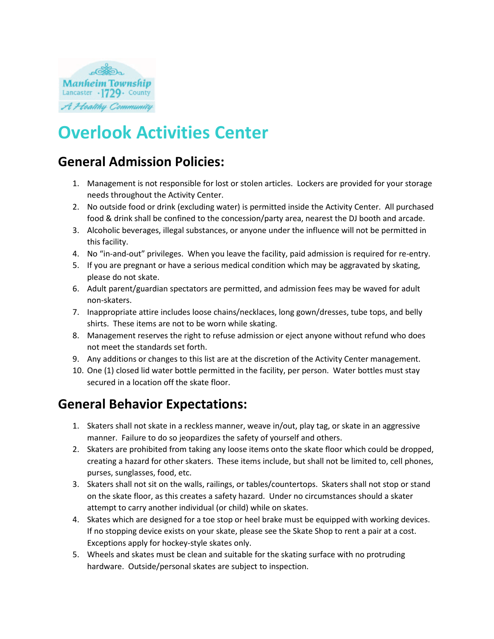

# **Overlook Activities Center**

## **General Admission Policies:**

- 1. Management is not responsible for lost or stolen articles. Lockers are provided for your storage needs throughout the Activity Center.
- 2. No outside food or drink (excluding water) is permitted inside the Activity Center. All purchased food & drink shall be confined to the concession/party area, nearest the DJ booth and arcade.
- 3. Alcoholic beverages, illegal substances, or anyone under the influence will not be permitted in this facility.
- 4. No "in-and-out" privileges. When you leave the facility, paid admission is required for re-entry.
- 5. If you are pregnant or have a serious medical condition which may be aggravated by skating, please do not skate.
- 6. Adult parent/guardian spectators are permitted, and admission fees may be waved for adult non-skaters.
- 7. Inappropriate attire includes loose chains/necklaces, long gown/dresses, tube tops, and belly shirts. These items are not to be worn while skating.
- 8. Management reserves the right to refuse admission or eject anyone without refund who does not meet the standards set forth.
- 9. Any additions or changes to this list are at the discretion of the Activity Center management.
- 10. One (1) closed lid water bottle permitted in the facility, per person. Water bottles must stay secured in a location off the skate floor.

## **General Behavior Expectations:**

- 1. Skaters shall not skate in a reckless manner, weave in/out, play tag, or skate in an aggressive manner. Failure to do so jeopardizes the safety of yourself and others.
- 2. Skaters are prohibited from taking any loose items onto the skate floor which could be dropped, creating a hazard for other skaters. These items include, but shall not be limited to, cell phones, purses, sunglasses, food, etc.
- 3. Skaters shall not sit on the walls, railings, or tables/countertops. Skaters shall not stop or stand on the skate floor, as this creates a safety hazard. Under no circumstances should a skater attempt to carry another individual (or child) while on skates.
- 4. Skates which are designed for a toe stop or heel brake must be equipped with working devices. If no stopping device exists on your skate, please see the Skate Shop to rent a pair at a cost. Exceptions apply for hockey-style skates only.
- 5. Wheels and skates must be clean and suitable for the skating surface with no protruding hardware. Outside/personal skates are subject to inspection.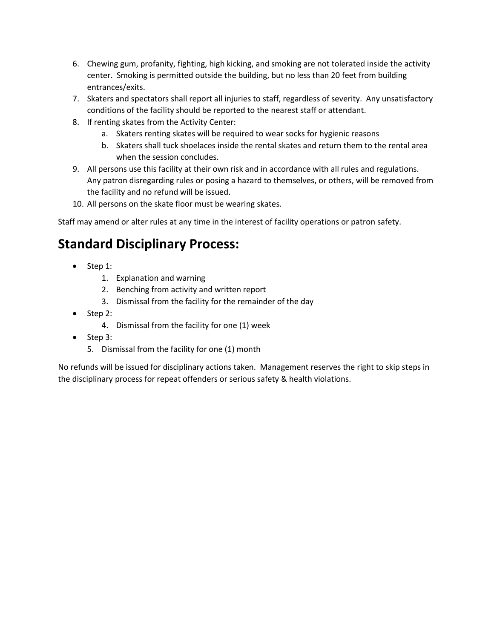- 6. Chewing gum, profanity, fighting, high kicking, and smoking are not tolerated inside the activity center. Smoking is permitted outside the building, but no less than 20 feet from building entrances/exits.
- 7. Skaters and spectators shall report all injuries to staff, regardless of severity. Any unsatisfactory conditions of the facility should be reported to the nearest staff or attendant.
- 8. If renting skates from the Activity Center:
	- a. Skaters renting skates will be required to wear socks for hygienic reasons
	- b. Skaters shall tuck shoelaces inside the rental skates and return them to the rental area when the session concludes.
- 9. All persons use this facility at their own risk and in accordance with all rules and regulations. Any patron disregarding rules or posing a hazard to themselves, or others, will be removed from the facility and no refund will be issued.
- 10. All persons on the skate floor must be wearing skates.

Staff may amend or alter rules at any time in the interest of facility operations or patron safety.

## **Standard Disciplinary Process:**

- Step 1:
	- 1. Explanation and warning
	- 2. Benching from activity and written report
	- 3. Dismissal from the facility for the remainder of the day
- Step 2:
	- 4. Dismissal from the facility for one (1) week
- Step 3:
	- 5. Dismissal from the facility for one (1) month

No refunds will be issued for disciplinary actions taken. Management reserves the right to skip steps in the disciplinary process for repeat offenders or serious safety & health violations.